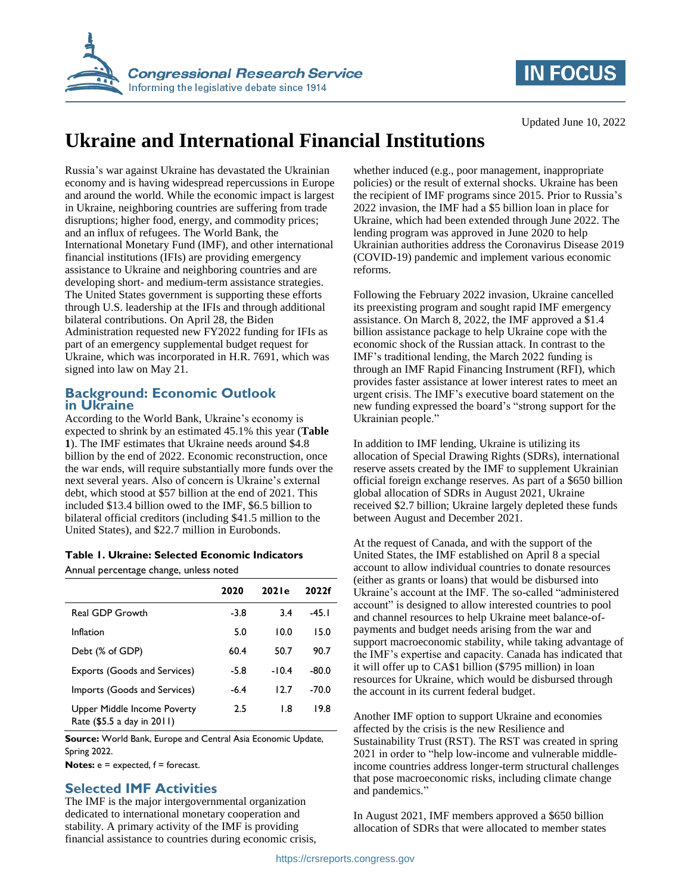

## **IN FOCUS**

Updated June 10, 2022

# **Ukraine and International Financial Institutions**

Russia's war against Ukraine has devastated the Ukrainian economy and is having widespread repercussions in Europe and around the world. While the economic impact is largest in Ukraine, neighboring countries are suffering from trade disruptions; higher food, energy, and commodity prices; and an influx of refugees. The World Bank, the International Monetary Fund (IMF), and other international financial institutions (IFIs) are providing emergency assistance to Ukraine and neighboring countries and are developing short- and medium-term assistance strategies. The United States government is supporting these efforts through U.S. leadership at the IFIs and through additional bilateral contributions. On April 28, the Biden Administration requested new FY2022 funding for IFIs as part of an emergency supplemental budget request for Ukraine, which was incorporated in H.R. 7691, which was signed into law on May 21.

#### **Background: Economic Outlook in Ukraine**

According to the World Bank, Ukraine's economy is expected to shrink by an estimated 45.1% this year (**[Table](#page-0-0)  [1](#page-0-0)**). The IMF estimates that Ukraine needs around \$4.8 billion by the end of 2022. Economic reconstruction, once the war ends, will require substantially more funds over the next several years. Also of concern is Ukraine's external debt, which stood at \$57 billion at the end of 2021. This included \$13.4 billion owed to the IMF, \$6.5 billion to bilateral official creditors (including \$41.5 million to the United States), and \$22.7 million in Eurobonds.

<span id="page-0-0"></span>

|  |  |  |  | Table 1. Ukraine: Selected Economic Indicators |  |
|--|--|--|--|------------------------------------------------|--|
|--|--|--|--|------------------------------------------------|--|

Annual percentage change, unless noted

|                                                           | 2020   | 202 le  | 2022f |
|-----------------------------------------------------------|--------|---------|-------|
| <b>Real GDP Growth</b>                                    | $-3.8$ | 3.4     | -45.1 |
| Inflation                                                 | 5.0    | 10.0    | 15.0  |
| Debt (% of GDP)                                           | 60.4   | 50.7    | 90.7  |
| Exports (Goods and Services)                              | $-5.8$ | $-10.4$ | -80.0 |
| Imports (Goods and Services)                              | $-6.4$ | 12.7    | -70.0 |
| Upper Middle Income Poverty<br>Rate (\$5.5 a day in 2011) | 2.5    | 1.8     | 19.8  |

**Source:** World Bank, Europe and Central Asia Economic Update, Spring 2022.

**Notes:** e = expected, f = forecast.

### **Selected IMF Activities**

The IMF is the major intergovernmental organization dedicated to international monetary cooperation and stability. A primary activity of the IMF is providing financial assistance to countries during economic crisis, whether induced (e.g., poor management, inappropriate policies) or the result of external shocks. Ukraine has been the recipient of IMF programs since 2015. Prior to Russia's 2022 invasion, the IMF had a \$5 billion loan in place for Ukraine, which had been extended through June 2022. The lending program was approved in June 2020 to help Ukrainian authorities address the Coronavirus Disease 2019 (COVID-19) pandemic and implement various economic reforms.

Following the February 2022 invasion, Ukraine cancelled its preexisting program and sought rapid IMF emergency assistance. On March 8, 2022, the IMF approved a \$1.4 billion assistance package to help Ukraine cope with the economic shock of the Russian attack. In contrast to the IMF's traditional lending, the March 2022 funding is through an IMF Rapid Financing Instrument (RFI), which provides faster assistance at lower interest rates to meet an urgent crisis. The IMF's executive board statement on the new funding expressed the board's "strong support for the Ukrainian people."

In addition to IMF lending, Ukraine is utilizing its allocation of Special Drawing Rights (SDRs), international reserve assets created by the IMF to supplement Ukrainian official foreign exchange reserves. As part of a \$650 billion global allocation of SDRs in August 2021, Ukraine received \$2.7 billion; Ukraine largely depleted these funds between August and December 2021.

At the request of Canada, and with the support of the United States, the IMF established on April 8 a special account to allow individual countries to donate resources (either as grants or loans) that would be disbursed into Ukraine's account at the IMF. The so-called "administered account" is designed to allow interested countries to pool and channel resources to help Ukraine meet balance-ofpayments and budget needs arising from the war and support macroeconomic stability, while taking advantage of the IMF's expertise and capacity. Canada has indicated that it will offer up to CA\$1 billion (\$795 million) in loan resources for Ukraine, which would be disbursed through the account in its current federal budget.

Another IMF option to support Ukraine and economies affected by the crisis is the new Resilience and Sustainability Trust (RST). The RST was created in spring 2021 in order to "help low-income and vulnerable middleincome countries address longer-term structural challenges that pose macroeconomic risks, including climate change and pandemics."

In August 2021, IMF members approved a \$650 billion allocation of SDRs that were allocated to member states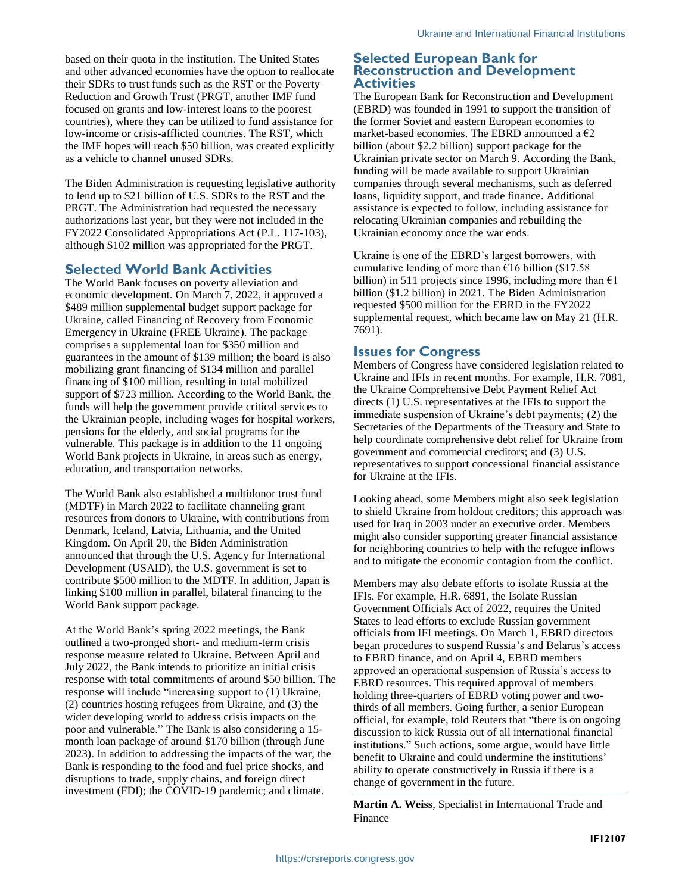based on their quota in the institution. The United States and other advanced economies have the option to reallocate their SDRs to trust funds such as the RST or the Poverty Reduction and Growth Trust (PRGT, another IMF fund focused on grants and low-interest loans to the poorest countries), where they can be utilized to fund assistance for low-income or crisis-afflicted countries. The RST, which the IMF hopes will reach \$50 billion, was created explicitly as a vehicle to channel unused SDRs.

The Biden Administration is requesting legislative authority to lend up to \$21 billion of U.S. SDRs to the RST and the PRGT. The Administration had requested the necessary authorizations last year, but they were not included in the FY2022 Consolidated Appropriations Act (P.L. 117-103), although \$102 million was appropriated for the PRGT.

#### **Selected World Bank Activities**

The World Bank focuses on poverty alleviation and economic development. On March 7, 2022, it approved a \$489 million supplemental budget support package for Ukraine, called Financing of Recovery from Economic Emergency in Ukraine (FREE Ukraine). The package comprises a supplemental loan for \$350 million and guarantees in the amount of \$139 million; the board is also mobilizing grant financing of \$134 million and parallel financing of \$100 million, resulting in total mobilized support of \$723 million. According to the World Bank, the funds will help the government provide critical services to the Ukrainian people, including wages for hospital workers, pensions for the elderly, and social programs for the vulnerable. This package is in addition to the 11 ongoing World Bank projects in Ukraine, in areas such as energy, education, and transportation networks.

The World Bank also established a multidonor trust fund (MDTF) in March 2022 to facilitate channeling grant resources from donors to Ukraine, with contributions from Denmark, Iceland, Latvia, Lithuania, and the United Kingdom. On April 20, the Biden Administration announced that through the U.S. Agency for International Development (USAID), the U.S. government is set to contribute \$500 million to the MDTF. In addition, Japan is linking \$100 million in parallel, bilateral financing to the World Bank support package.

At the World Bank's spring 2022 meetings, the Bank outlined a two-pronged short- and medium-term crisis response measure related to Ukraine. Between April and July 2022, the Bank intends to prioritize an initial crisis response with total commitments of around \$50 billion. The response will include "increasing support to (1) Ukraine, (2) countries hosting refugees from Ukraine, and (3) the wider developing world to address crisis impacts on the poor and vulnerable." The Bank is also considering a 15 month loan package of around \$170 billion (through June 2023). In addition to addressing the impacts of the war, the Bank is responding to the food and fuel price shocks, and disruptions to trade, supply chains, and foreign direct investment (FDI); the COVID-19 pandemic; and climate.

#### **Selected European Bank for Reconstruction and Development Activities**

The European Bank for Reconstruction and Development (EBRD) was founded in 1991 to support the transition of the former Soviet and eastern European economies to market-based economies. The EBRD announced a  $\epsilon$ 2 billion (about \$2.2 billion) support package for the Ukrainian private sector on March 9. According the Bank, funding will be made available to support Ukrainian companies through several mechanisms, such as deferred loans, liquidity support, and trade finance. Additional assistance is expected to follow, including assistance for relocating Ukrainian companies and rebuilding the Ukrainian economy once the war ends.

Ukraine is one of the EBRD's largest borrowers, with cumulative lending of more than  $\epsilon$ 16 billion (\$17.58) billion) in 511 projects since 1996, including more than  $\epsilon$ 1 billion (\$1.2 billion) in 2021. The Biden Administration requested \$500 million for the EBRD in the FY2022 supplemental request, which became law on May 21 (H.R. 7691).

#### **Issues for Congress**

Members of Congress have considered legislation related to Ukraine and IFIs in recent months. For example, H.R. 7081, the Ukraine Comprehensive Debt Payment Relief Act directs (1) U.S. representatives at the IFIs to support the immediate suspension of Ukraine's debt payments; (2) the Secretaries of the Departments of the Treasury and State to help coordinate comprehensive debt relief for Ukraine from government and commercial creditors; and (3) U.S. representatives to support concessional financial assistance for Ukraine at the IFIs.

Looking ahead, some Members might also seek legislation to shield Ukraine from holdout creditors; this approach was used for Iraq in 2003 under an executive order. Members might also consider supporting greater financial assistance for neighboring countries to help with the refugee inflows and to mitigate the economic contagion from the conflict.

Members may also debate efforts to isolate Russia at the IFIs. For example, H.R. 6891, the Isolate Russian Government Officials Act of 2022, requires the United States to lead efforts to exclude Russian government officials from IFI meetings. On March 1, EBRD directors began procedures to suspend Russia's and Belarus's access to EBRD finance, and on April 4, EBRD members approved an operational suspension of Russia's access to EBRD resources. This required approval of members holding three-quarters of EBRD voting power and twothirds of all members. Going further, a senior European official, for example, told Reuters that "there is on ongoing discussion to kick Russia out of all international financial institutions." Such actions, some argue, would have little benefit to Ukraine and could undermine the institutions' ability to operate constructively in Russia if there is a change of government in the future.

**Martin A. Weiss**, Specialist in International Trade and Finance